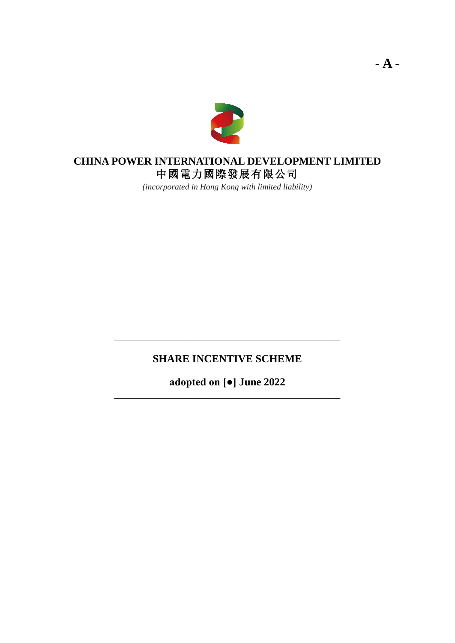

## **CHINA POWER INTERNATIONAL DEVELOPMENT LIMITED** 中國電力國際發展有限公司

*(incorporated in Hong Kong with limited liability)*

# **SHARE INCENTIVE SCHEME**

**\_\_\_\_\_\_\_\_\_\_\_\_\_\_\_\_\_\_\_\_\_\_\_\_\_\_\_\_\_\_\_\_\_\_\_\_\_\_**

**adopted on [●] June 2022 \_\_\_\_\_\_\_\_\_\_\_\_\_\_\_\_\_\_\_\_\_\_\_\_\_\_\_\_\_\_\_\_\_\_\_\_\_\_**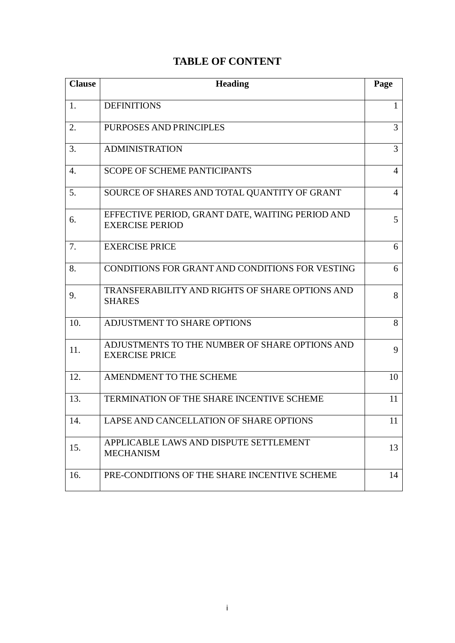# **TABLE OF CONTENT**

| <b>Clause</b> | <b>Heading</b>                                                             | Page           |
|---------------|----------------------------------------------------------------------------|----------------|
| 1.            | <b>DEFINITIONS</b>                                                         | 1              |
| 2.            | PURPOSES AND PRINCIPLES                                                    | $\overline{3}$ |
| 3.            | <b>ADMINISTRATION</b>                                                      | $\overline{3}$ |
| 4.            | <b>SCOPE OF SCHEME PANTICIPANTS</b>                                        | $\overline{4}$ |
| 5.            | SOURCE OF SHARES AND TOTAL QUANTITY OF GRANT                               | 4              |
| 6.            | EFFECTIVE PERIOD, GRANT DATE, WAITING PERIOD AND<br><b>EXERCISE PERIOD</b> | 5              |
| 7.            | <b>EXERCISE PRICE</b>                                                      | 6              |
| 8.            | CONDITIONS FOR GRANT AND CONDITIONS FOR VESTING                            | 6              |
| 9.            | TRANSFERABILITY AND RIGHTS OF SHARE OPTIONS AND<br><b>SHARES</b>           | 8              |
| 10.           | ADJUSTMENT TO SHARE OPTIONS                                                | 8              |
| 11.           | ADJUSTMENTS TO THE NUMBER OF SHARE OPTIONS AND<br><b>EXERCISE PRICE</b>    | 9              |
| 12.           | AMENDMENT TO THE SCHEME                                                    | 10             |
| 13.           | <b>TERMINATION OF THE SHARE INCENTIVE SCHEME</b>                           | 11             |
| $\lceil 14.$  | LAPSE AND CANCELLATION OF SHARE OPTIONS                                    | 11             |
| 15.           | APPLICABLE LAWS AND DISPUTE SETTLEMENT<br><b>MECHANISM</b>                 | 13             |
| 16.           | PRE-CONDITIONS OF THE SHARE INCENTIVE SCHEME                               | 14             |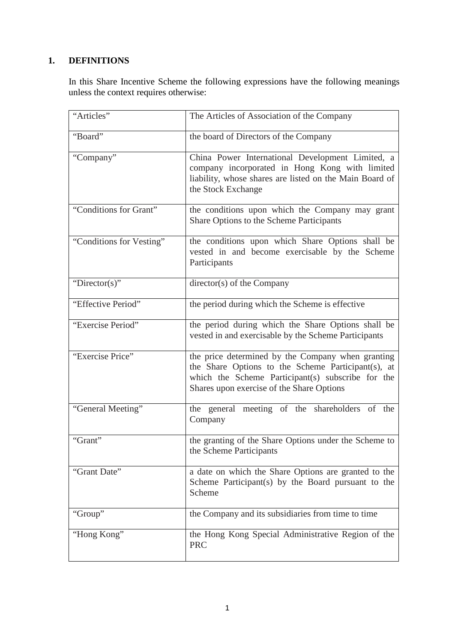## **1. DEFINITIONS**

In this Share Incentive Scheme the following expressions have the following meanings unless the context requires otherwise:

| "Articles"               | The Articles of Association of the Company                                                                                                                                                                |
|--------------------------|-----------------------------------------------------------------------------------------------------------------------------------------------------------------------------------------------------------|
| "Board"                  | the board of Directors of the Company                                                                                                                                                                     |
| "Company"                | China Power International Development Limited, a<br>company incorporated in Hong Kong with limited<br>liability, whose shares are listed on the Main Board of<br>the Stock Exchange                       |
| "Conditions for Grant"   | the conditions upon which the Company may grant<br>Share Options to the Scheme Participants                                                                                                               |
| "Conditions for Vesting" | the conditions upon which Share Options shall be<br>vested in and become exercisable by the Scheme<br>Participants                                                                                        |
| "Director(s)"            | $directory(s)$ of the Company                                                                                                                                                                             |
| "Effective Period"       | the period during which the Scheme is effective                                                                                                                                                           |
| "Exercise Period"        | the period during which the Share Options shall be<br>vested in and exercisable by the Scheme Participants                                                                                                |
| "Exercise Price"         | the price determined by the Company when granting<br>the Share Options to the Scheme Participant(s), at<br>which the Scheme Participant(s) subscribe for the<br>Shares upon exercise of the Share Options |
| "General Meeting"        | the general meeting of the shareholders of the<br>Company                                                                                                                                                 |
| "Grant"                  | the granting of the Share Options under the Scheme to<br>the Scheme Participants                                                                                                                          |
| "Grant Date"             | a date on which the Share Options are granted to the<br>Scheme Participant(s) by the Board pursuant to the<br>Scheme                                                                                      |
| "Group"                  | the Company and its subsidiaries from time to time                                                                                                                                                        |
| "Hong Kong"              | the Hong Kong Special Administrative Region of the<br><b>PRC</b>                                                                                                                                          |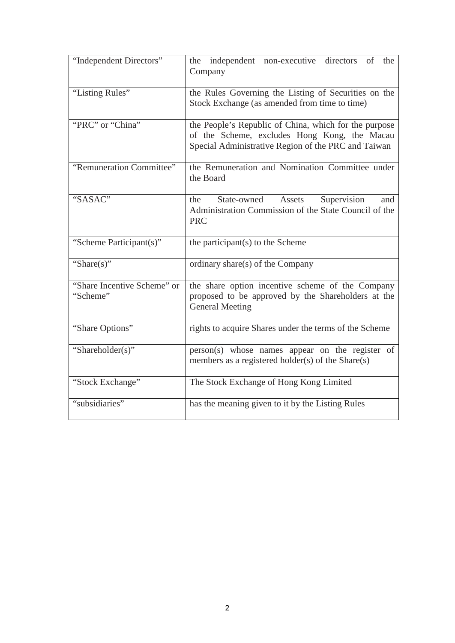| "Independent Directors"                 | the independent non-executive directors of the<br>Company                                                                                                    |
|-----------------------------------------|--------------------------------------------------------------------------------------------------------------------------------------------------------------|
| "Listing Rules"                         | the Rules Governing the Listing of Securities on the<br>Stock Exchange (as amended from time to time)                                                        |
| "PRC" or "China"                        | the People's Republic of China, which for the purpose<br>of the Scheme, excludes Hong Kong, the Macau<br>Special Administrative Region of the PRC and Taiwan |
| "Remuneration Committee"                | the Remuneration and Nomination Committee under<br>the Board                                                                                                 |
| "SASAC"                                 | State-owned Assets<br>Supervision<br>the<br>and<br>Administration Commission of the State Council of the<br><b>PRC</b>                                       |
| "Scheme Participant(s)"                 | the participant(s) to the Scheme                                                                                                                             |
| "Share $(s)$ "                          | ordinary share(s) of the Company                                                                                                                             |
| "Share Incentive Scheme" or<br>"Scheme" | the share option incentive scheme of the Company<br>proposed to be approved by the Shareholders at the<br><b>General Meeting</b>                             |
| "Share Options"                         | rights to acquire Shares under the terms of the Scheme                                                                                                       |
| "Shareholder(s)"                        | person(s) whose names appear on the register of<br>members as a registered holder(s) of the Share(s)                                                         |
| "Stock Exchange"                        | The Stock Exchange of Hong Kong Limited                                                                                                                      |
| "subsidiaries"                          | has the meaning given to it by the Listing Rules                                                                                                             |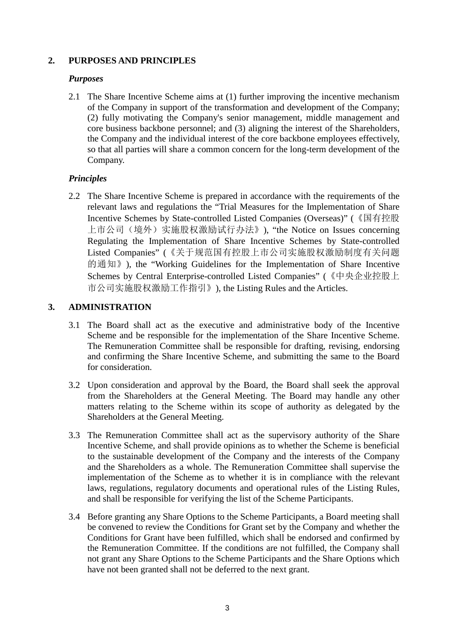### **2. PURPOSES AND PRINCIPLES**

### *Purposes*

2.1 The Share Incentive Scheme aims at (1) further improving the incentive mechanism of the Company in support of the transformation and development of the Company; (2) fully motivating the Company's senior management, middle management and core business backbone personnel; and (3) aligning the interest of the Shareholders, the Company and the individual interest of the core backbone employees effectively, so that all parties will share a common concern for the long-term development of the Company.

### *Principles*

2.2 The Share Incentive Scheme is prepared in accordance with the requirements of the relevant laws and regulations the "Trial Measures for the Implementation of Share Incentive Schemes by State-controlled Listed Companies (Overseas)" (《国有控股 上市公司(境外)实施股权激励试行办法》), "the Notice on Issues concerning Regulating the Implementation of Share Incentive Schemes by State-controlled Listed Companies" (《关于规范国有控股上市公司实施股权激励制度有关问题 的通知》), the "Working Guidelines for the Implementation of Share Incentive Schemes by Central Enterprise-controlled Listed Companies" (《中央企业控股上 市公司实施股权激励工作指引》), the Listing Rules and the Articles.

### **3. ADMINISTRATION**

- 3.1 The Board shall act as the executive and administrative body of the Incentive Scheme and be responsible for the implementation of the Share Incentive Scheme. The Remuneration Committee shall be responsible for drafting, revising, endorsing and confirming the Share Incentive Scheme, and submitting the same to the Board for consideration.
- 3.2 Upon consideration and approval by the Board, the Board shall seek the approval from the Shareholders at the General Meeting. The Board may handle any other matters relating to the Scheme within its scope of authority as delegated by the Shareholders at the General Meeting.
- 3.3 The Remuneration Committee shall act as the supervisory authority of the Share Incentive Scheme, and shall provide opinions as to whether the Scheme is beneficial to the sustainable development of the Company and the interests of the Company and the Shareholders as a whole. The Remuneration Committee shall supervise the implementation of the Scheme as to whether it is in compliance with the relevant laws, regulations, regulatory documents and operational rules of the Listing Rules, and shall be responsible for verifying the list of the Scheme Participants.
- 3.4 Before granting any Share Options to the Scheme Participants, a Board meeting shall be convened to review the Conditions for Grant set by the Company and whether the Conditions for Grant have been fulfilled, which shall be endorsed and confirmed by the Remuneration Committee. If the conditions are not fulfilled, the Company shall not grant any Share Options to the Scheme Participants and the Share Options which have not been granted shall not be deferred to the next grant.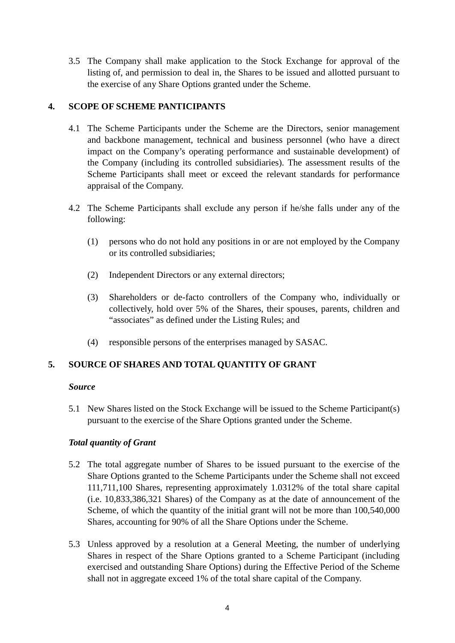3.5 The Company shall make application to the Stock Exchange for approval of the listing of, and permission to deal in, the Shares to be issued and allotted pursuant to the exercise of any Share Options granted under the Scheme.

### **4. SCOPE OF SCHEME PANTICIPANTS**

- 4.1 The Scheme Participants under the Scheme are the Directors, senior management and backbone management, technical and business personnel (who have a direct impact on the Company's operating performance and sustainable development) of the Company (including its controlled subsidiaries). The assessment results of the Scheme Participants shall meet or exceed the relevant standards for performance appraisal of the Company.
- 4.2 The Scheme Participants shall exclude any person if he/she falls under any of the following:
	- (1) persons who do not hold any positions in or are not employed by the Company or its controlled subsidiaries;
	- (2) Independent Directors or any external directors;
	- (3) Shareholders or de-facto controllers of the Company who, individually or collectively, hold over 5% of the Shares, their spouses, parents, children and "associates" as defined under the Listing Rules; and
	- (4) responsible persons of the enterprises managed by SASAC.

### **5. SOURCE OF SHARES AND TOTAL QUANTITY OF GRANT**

### *Source*

5.1 New Shares listed on the Stock Exchange will be issued to the Scheme Participant(s) pursuant to the exercise of the Share Options granted under the Scheme.

### *Total quantity of Grant*

- 5.2 The total aggregate number of Shares to be issued pursuant to the exercise of the Share Options granted to the Scheme Participants under the Scheme shall not exceed 111,711,100 Shares, representing approximately 1.0312% of the total share capital (i.e. 10,833,386,321 Shares) of the Company as at the date of announcement of the Scheme, of which the quantity of the initial grant will not be more than 100,540,000 Shares, accounting for 90% of all the Share Options under the Scheme.
- 5.3 Unless approved by a resolution at a General Meeting, the number of underlying Shares in respect of the Share Options granted to a Scheme Participant (including exercised and outstanding Share Options) during the Effective Period of the Scheme shall not in aggregate exceed 1% of the total share capital of the Company.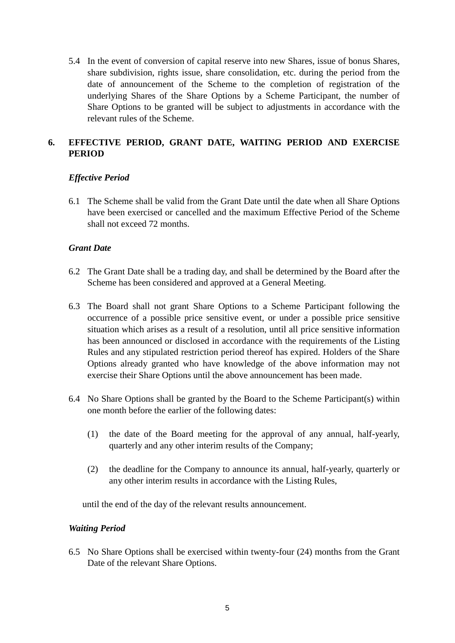5.4 In the event of conversion of capital reserve into new Shares, issue of bonus Shares, share subdivision, rights issue, share consolidation, etc. during the period from the date of announcement of the Scheme to the completion of registration of the underlying Shares of the Share Options by a Scheme Participant, the number of Share Options to be granted will be subject to adjustments in accordance with the relevant rules of the Scheme.

### **6. EFFECTIVE PERIOD, GRANT DATE, WAITING PERIOD AND EXERCISE PERIOD**

### *Effective Period*

6.1 The Scheme shall be valid from the Grant Date until the date when all Share Options have been exercised or cancelled and the maximum Effective Period of the Scheme shall not exceed 72 months.

### *Grant Date*

- 6.2 The Grant Date shall be a trading day, and shall be determined by the Board after the Scheme has been considered and approved at a General Meeting.
- 6.3 The Board shall not grant Share Options to a Scheme Participant following the occurrence of a possible price sensitive event, or under a possible price sensitive situation which arises as a result of a resolution, until all price sensitive information has been announced or disclosed in accordance with the requirements of the Listing Rules and any stipulated restriction period thereof has expired. Holders of the Share Options already granted who have knowledge of the above information may not exercise their Share Options until the above announcement has been made.
- 6.4 No Share Options shall be granted by the Board to the Scheme Participant(s) within one month before the earlier of the following dates:
	- (1) the date of the Board meeting for the approval of any annual, half-yearly, quarterly and any other interim results of the Company;
	- (2) the deadline for the Company to announce its annual, half-yearly, quarterly or any other interim results in accordance with the Listing Rules,

until the end of the day of the relevant results announcement.

#### *Waiting Period*

6.5 No Share Options shall be exercised within twenty-four (24) months from the Grant Date of the relevant Share Options.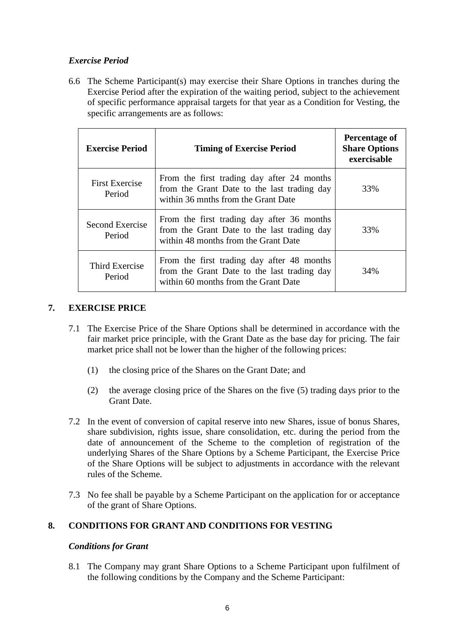### *Exercise Period*

6.6 The Scheme Participant(s) may exercise their Share Options in tranches during the Exercise Period after the expiration of the waiting period, subject to the achievement of specific performance appraisal targets for that year as a Condition for Vesting, the specific arrangements are as follows:

| <b>Exercise Period</b>          | <b>Timing of Exercise Period</b>                                                                                                  | Percentage of<br><b>Share Options</b><br>exercisable |
|---------------------------------|-----------------------------------------------------------------------------------------------------------------------------------|------------------------------------------------------|
| <b>First Exercise</b><br>Period | From the first trading day after 24 months<br>from the Grant Date to the last trading day<br>within 36 mnths from the Grant Date  | 33%                                                  |
| Second Exercise<br>Period       | From the first trading day after 36 months<br>from the Grant Date to the last trading day<br>within 48 months from the Grant Date | 33%                                                  |
| Third Exercise<br>Period        | From the first trading day after 48 months<br>from the Grant Date to the last trading day<br>within 60 months from the Grant Date | 34%                                                  |

### **7. EXERCISE PRICE**

- 7.1 The Exercise Price of the Share Options shall be determined in accordance with the fair market price principle, with the Grant Date as the base day for pricing. The fair market price shall not be lower than the higher of the following prices:
	- (1) the closing price of the Shares on the Grant Date; and
	- (2) the average closing price of the Shares on the five (5) trading days prior to the Grant Date.
- 7.2 In the event of conversion of capital reserve into new Shares, issue of bonus Shares, share subdivision, rights issue, share consolidation, etc. during the period from the date of announcement of the Scheme to the completion of registration of the underlying Shares of the Share Options by a Scheme Participant, the Exercise Price of the Share Options will be subject to adjustments in accordance with the relevant rules of the Scheme.
- 7.3 No fee shall be payable by a Scheme Participant on the application for or acceptance of the grant of Share Options.

### **8. CONDITIONS FOR GRANT AND CONDITIONS FOR VESTING**

### *Conditions for Grant*

8.1 The Company may grant Share Options to a Scheme Participant upon fulfilment of the following conditions by the Company and the Scheme Participant: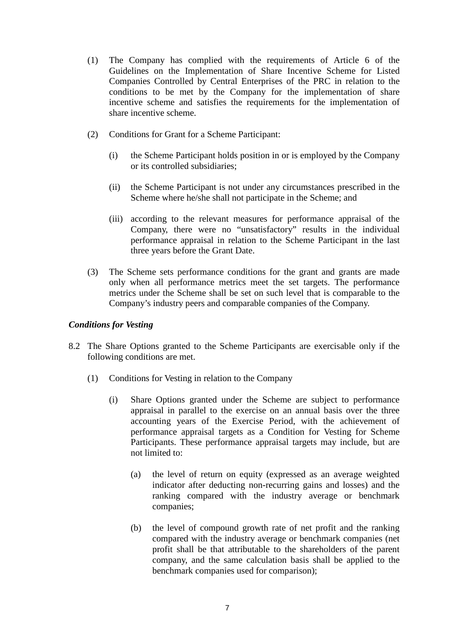- (1) The Company has complied with the requirements of Article 6 of the Guidelines on the Implementation of Share Incentive Scheme for Listed Companies Controlled by Central Enterprises of the PRC in relation to the conditions to be met by the Company for the implementation of share incentive scheme and satisfies the requirements for the implementation of share incentive scheme.
- (2) Conditions for Grant for a Scheme Participant:
	- (i) the Scheme Participant holds position in or is employed by the Company or its controlled subsidiaries;
	- (ii) the Scheme Participant is not under any circumstances prescribed in the Scheme where he/she shall not participate in the Scheme; and
	- (iii) according to the relevant measures for performance appraisal of the Company, there were no "unsatisfactory" results in the individual performance appraisal in relation to the Scheme Participant in the last three years before the Grant Date.
- (3) The Scheme sets performance conditions for the grant and grants are made only when all performance metrics meet the set targets. The performance metrics under the Scheme shall be set on such level that is comparable to the Company's industry peers and comparable companies of the Company.

#### *Conditions for Vesting*

- 8.2 The Share Options granted to the Scheme Participants are exercisable only if the following conditions are met.
	- (1) Conditions for Vesting in relation to the Company
		- (i) Share Options granted under the Scheme are subject to performance appraisal in parallel to the exercise on an annual basis over the three accounting years of the Exercise Period, with the achievement of performance appraisal targets as a Condition for Vesting for Scheme Participants. These performance appraisal targets may include, but are not limited to:
			- (a) the level of return on equity (expressed as an average weighted indicator after deducting non-recurring gains and losses) and the ranking compared with the industry average or benchmark companies;
			- (b) the level of compound growth rate of net profit and the ranking compared with the industry average or benchmark companies (net profit shall be that attributable to the shareholders of the parent company, and the same calculation basis shall be applied to the benchmark companies used for comparison);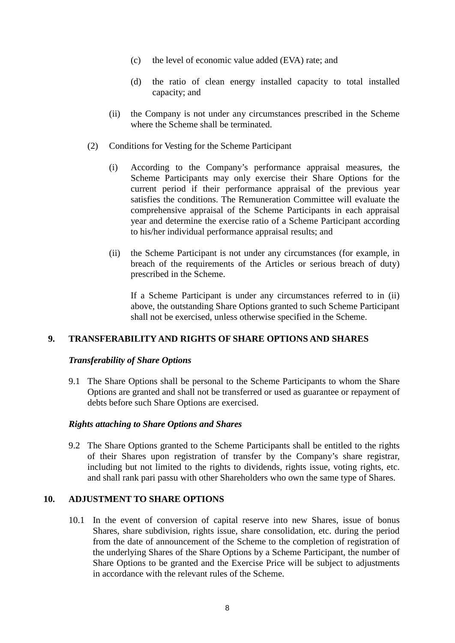- (c) the level of economic value added (EVA) rate; and
- (d) the ratio of clean energy installed capacity to total installed capacity; and
- (ii) the Company is not under any circumstances prescribed in the Scheme where the Scheme shall be terminated.
- (2) Conditions for Vesting for the Scheme Participant
	- (i) According to the Company's performance appraisal measures, the Scheme Participants may only exercise their Share Options for the current period if their performance appraisal of the previous year satisfies the conditions. The Remuneration Committee will evaluate the comprehensive appraisal of the Scheme Participants in each appraisal year and determine the exercise ratio of a Scheme Participant according to his/her individual performance appraisal results; and
	- (ii) the Scheme Participant is not under any circumstances (for example, in breach of the requirements of the Articles or serious breach of duty) prescribed in the Scheme.

If a Scheme Participant is under any circumstances referred to in (ii) above, the outstanding Share Options granted to such Scheme Participant shall not be exercised, unless otherwise specified in the Scheme.

#### **9. TRANSFERABILITY AND RIGHTS OF SHARE OPTIONS AND SHARES**

#### *Transferability of Share Options*

9.1 The Share Options shall be personal to the Scheme Participants to whom the Share Options are granted and shall not be transferred or used as guarantee or repayment of debts before such Share Options are exercised.

#### *Rights attaching to Share Options and Shares*

9.2 The Share Options granted to the Scheme Participants shall be entitled to the rights of their Shares upon registration of transfer by the Company's share registrar, including but not limited to the rights to dividends, rights issue, voting rights, etc. and shall rank pari passu with other Shareholders who own the same type of Shares.

#### **10. ADJUSTMENT TO SHARE OPTIONS**

10.1 In the event of conversion of capital reserve into new Shares, issue of bonus Shares, share subdivision, rights issue, share consolidation, etc. during the period from the date of announcement of the Scheme to the completion of registration of the underlying Shares of the Share Options by a Scheme Participant, the number of Share Options to be granted and the Exercise Price will be subject to adjustments in accordance with the relevant rules of the Scheme.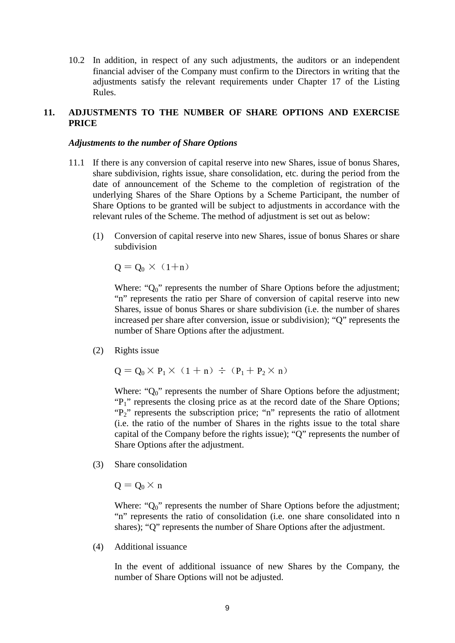10.2 In addition, in respect of any such adjustments, the auditors or an independent financial adviser of the Company must confirm to the Directors in writing that the adjustments satisfy the relevant requirements under Chapter 17 of the Listing Rules.

### **11. ADJUSTMENTS TO THE NUMBER OF SHARE OPTIONS AND EXERCISE PRICE**

#### *Adjustments to the number of Share Options*

- 11.1 If there is any conversion of capital reserve into new Shares, issue of bonus Shares, share subdivision, rights issue, share consolidation, etc. during the period from the date of announcement of the Scheme to the completion of registration of the underlying Shares of the Share Options by a Scheme Participant, the number of Share Options to be granted will be subject to adjustments in accordance with the relevant rules of the Scheme. The method of adjustment is set out as below:
	- (1) Conversion of capital reserve into new Shares, issue of bonus Shares or share subdivision

$$
Q = Q_0 \times (1 + n)
$$

Where: " $Q_0$ " represents the number of Share Options before the adjustment; "n" represents the ratio per Share of conversion of capital reserve into new Shares, issue of bonus Shares or share subdivision (i.e. the number of shares increased per share after conversion, issue or subdivision); "Q" represents the number of Share Options after the adjustment.

(2) Rights issue

$$
Q = Q_0 \times P_1 \times (1 + n) \div (P_1 + P_2 \times n)
$$

Where: " $Q_0$ " represents the number of Share Options before the adjustment; "P<sub>1</sub>" represents the closing price as at the record date of the Share Options; "P<sub>2</sub>" represents the subscription price; "n" represents the ratio of allotment (i.e. the ratio of the number of Shares in the rights issue to the total share capital of the Company before the rights issue); "Q" represents the number of Share Options after the adjustment.

(3) Share consolidation

$$
Q=Q_0\times\mathbf{n}
$$

Where: " $Q_0$ " represents the number of Share Options before the adjustment; "n" represents the ratio of consolidation (i.e. one share consolidated into n shares); "Q" represents the number of Share Options after the adjustment.

(4) Additional issuance

In the event of additional issuance of new Shares by the Company, the number of Share Options will not be adjusted.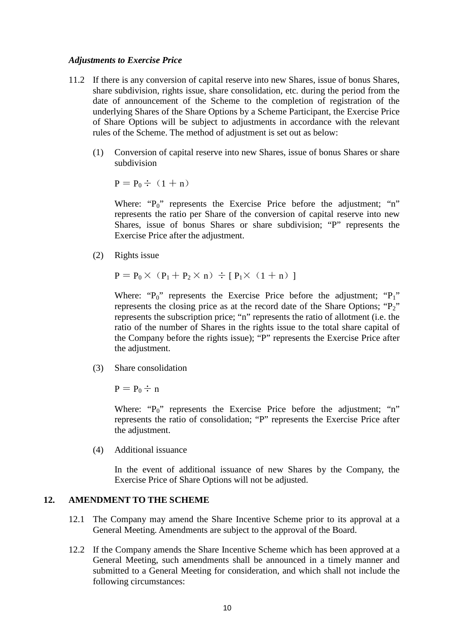#### *Adjustments to Exercise Price*

- 11.2 If there is any conversion of capital reserve into new Shares, issue of bonus Shares, share subdivision, rights issue, share consolidation, etc. during the period from the date of announcement of the Scheme to the completion of registration of the underlying Shares of the Share Options by a Scheme Participant, the Exercise Price of Share Options will be subject to adjustments in accordance with the relevant rules of the Scheme. The method of adjustment is set out as below:
	- (1) Conversion of capital reserve into new Shares, issue of bonus Shares or share subdivision

 $P = P_0 \div (1 + n)$ 

Where: "P<sub>0</sub>" represents the Exercise Price before the adjustment; "n" represents the ratio per Share of the conversion of capital reserve into new Shares, issue of bonus Shares or share subdivision; "P" represents the Exercise Price after the adjustment.

(2) Rights issue

$$
\mathbf{P} = \mathbf{P}_0 \times (\mathbf{P}_1 + \mathbf{P}_2 \times \mathbf{n}) \div [\mathbf{P}_1 \times (1 + \mathbf{n})]
$$

Where: " $P_0$ " represents the Exercise Price before the adjustment; " $P_1$ " represents the closing price as at the record date of the Share Options;  $P_2$ " represents the subscription price; "n" represents the ratio of allotment (i.e. the ratio of the number of Shares in the rights issue to the total share capital of the Company before the rights issue); "P" represents the Exercise Price after the adjustment.

(3) Share consolidation

 $P = P_0 \div n$ 

Where: " $P_0$ " represents the Exercise Price before the adjustment; "n" represents the ratio of consolidation; "P" represents the Exercise Price after the adjustment.

(4) Additional issuance

In the event of additional issuance of new Shares by the Company, the Exercise Price of Share Options will not be adjusted.

#### **12. AMENDMENT TO THE SCHEME**

- 12.1 The Company may amend the Share Incentive Scheme prior to its approval at a General Meeting. Amendments are subject to the approval of the Board.
- 12.2 If the Company amends the Share Incentive Scheme which has been approved at a General Meeting, such amendments shall be announced in a timely manner and submitted to a General Meeting for consideration, and which shall not include the following circumstances: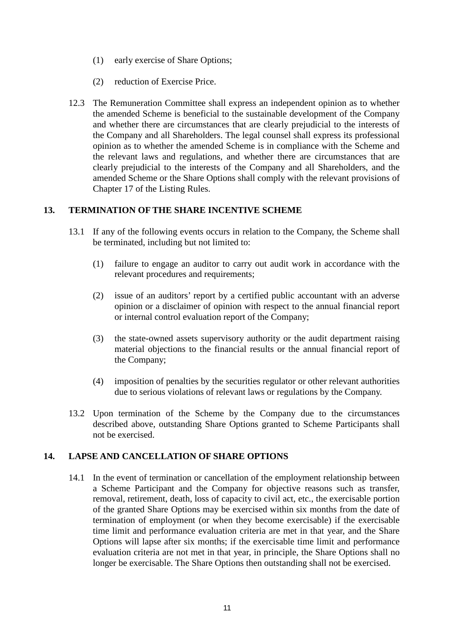- (1) early exercise of Share Options;
- (2) reduction of Exercise Price.
- 12.3 The Remuneration Committee shall express an independent opinion as to whether the amended Scheme is beneficial to the sustainable development of the Company and whether there are circumstances that are clearly prejudicial to the interests of the Company and all Shareholders. The legal counsel shall express its professional opinion as to whether the amended Scheme is in compliance with the Scheme and the relevant laws and regulations, and whether there are circumstances that are clearly prejudicial to the interests of the Company and all Shareholders, and the amended Scheme or the Share Options shall comply with the relevant provisions of Chapter 17 of the Listing Rules.

### **13. TERMINATION OF THE SHARE INCENTIVE SCHEME**

- 13.1 If any of the following events occurs in relation to the Company, the Scheme shall be terminated, including but not limited to:
	- (1) failure to engage an auditor to carry out audit work in accordance with the relevant procedures and requirements;
	- (2) issue of an auditors' report by a certified public accountant with an adverse opinion or a disclaimer of opinion with respect to the annual financial report or internal control evaluation report of the Company;
	- (3) the state-owned assets supervisory authority or the audit department raising material objections to the financial results or the annual financial report of the Company;
	- (4) imposition of penalties by the securities regulator or other relevant authorities due to serious violations of relevant laws or regulations by the Company.
- 13.2 Upon termination of the Scheme by the Company due to the circumstances described above, outstanding Share Options granted to Scheme Participants shall not be exercised.

### **14. LAPSE AND CANCELLATION OF SHARE OPTIONS**

14.1 In the event of termination or cancellation of the employment relationship between a Scheme Participant and the Company for objective reasons such as transfer, removal, retirement, death, loss of capacity to civil act, etc., the exercisable portion of the granted Share Options may be exercised within six months from the date of termination of employment (or when they become exercisable) if the exercisable time limit and performance evaluation criteria are met in that year, and the Share Options will lapse after six months; if the exercisable time limit and performance evaluation criteria are not met in that year, in principle, the Share Options shall no longer be exercisable. The Share Options then outstanding shall not be exercised.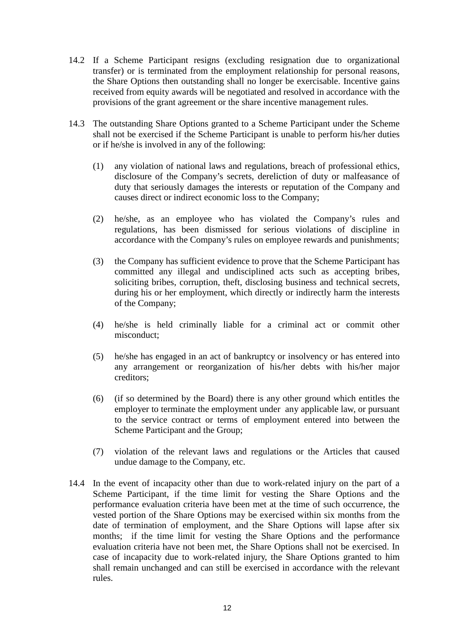- 14.2 If a Scheme Participant resigns (excluding resignation due to organizational transfer) or is terminated from the employment relationship for personal reasons, the Share Options then outstanding shall no longer be exercisable. Incentive gains received from equity awards will be negotiated and resolved in accordance with the provisions of the grant agreement or the share incentive management rules.
- 14.3 The outstanding Share Options granted to a Scheme Participant under the Scheme shall not be exercised if the Scheme Participant is unable to perform his/her duties or if he/she is involved in any of the following:
	- (1) any violation of national laws and regulations, breach of professional ethics, disclosure of the Company's secrets, dereliction of duty or malfeasance of duty that seriously damages the interests or reputation of the Company and causes direct or indirect economic loss to the Company;
	- (2) he/she, as an employee who has violated the Company's rules and regulations, has been dismissed for serious violations of discipline in accordance with the Company's rules on employee rewards and punishments;
	- (3) the Company has sufficient evidence to prove that the Scheme Participant has committed any illegal and undisciplined acts such as accepting bribes, soliciting bribes, corruption, theft, disclosing business and technical secrets, during his or her employment, which directly or indirectly harm the interests of the Company;
	- (4) he/she is held criminally liable for a criminal act or commit other misconduct;
	- (5) he/she has engaged in an act of bankruptcy or insolvency or has entered into any arrangement or reorganization of his/her debts with his/her major creditors;
	- (6) (if so determined by the Board) there is any other ground which entitles the employer to terminate the employment under any applicable law, or pursuant to the service contract or terms of employment entered into between the Scheme Participant and the Group;
	- (7) violation of the relevant laws and regulations or the Articles that caused undue damage to the Company, etc.
- 14.4 In the event of incapacity other than due to work-related injury on the part of a Scheme Participant, if the time limit for vesting the Share Options and the performance evaluation criteria have been met at the time of such occurrence, the vested portion of the Share Options may be exercised within six months from the date of termination of employment, and the Share Options will lapse after six months; if the time limit for vesting the Share Options and the performance evaluation criteria have not been met, the Share Options shall not be exercised. In case of incapacity due to work-related injury, the Share Options granted to him shall remain unchanged and can still be exercised in accordance with the relevant rules.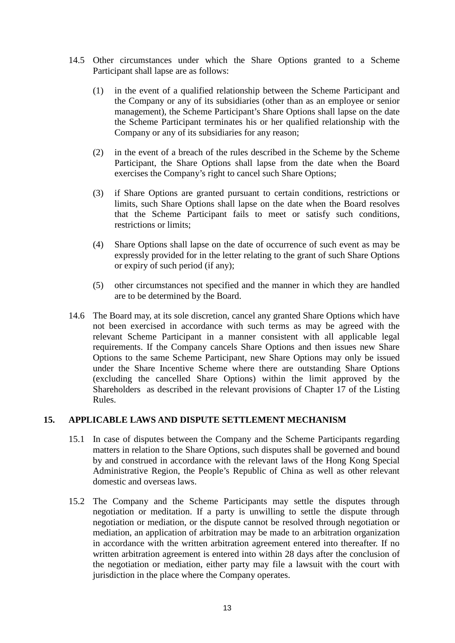- 14.5 Other circumstances under which the Share Options granted to a Scheme Participant shall lapse are as follows:
	- (1) in the event of a qualified relationship between the Scheme Participant and the Company or any of its subsidiaries (other than as an employee or senior management), the Scheme Participant's Share Options shall lapse on the date the Scheme Participant terminates his or her qualified relationship with the Company or any of its subsidiaries for any reason;
	- (2) in the event of a breach of the rules described in the Scheme by the Scheme Participant, the Share Options shall lapse from the date when the Board exercises the Company's right to cancel such Share Options;
	- (3) if Share Options are granted pursuant to certain conditions, restrictions or limits, such Share Options shall lapse on the date when the Board resolves that the Scheme Participant fails to meet or satisfy such conditions, restrictions or limits;
	- (4) Share Options shall lapse on the date of occurrence of such event as may be expressly provided for in the letter relating to the grant of such Share Options or expiry of such period (if any);
	- (5) other circumstances not specified and the manner in which they are handled are to be determined by the Board.
- 14.6 The Board may, at its sole discretion, cancel any granted Share Options which have not been exercised in accordance with such terms as may be agreed with the relevant Scheme Participant in a manner consistent with all applicable legal requirements. If the Company cancels Share Options and then issues new Share Options to the same Scheme Participant, new Share Options may only be issued under the Share Incentive Scheme where there are outstanding Share Options (excluding the cancelled Share Options) within the limit approved by the Shareholders as described in the relevant provisions of Chapter 17 of the Listing Rules.

### **15. APPLICABLE LAWS AND DISPUTE SETTLEMENT MECHANISM**

- 15.1 In case of disputes between the Company and the Scheme Participants regarding matters in relation to the Share Options, such disputes shall be governed and bound by and construed in accordance with the relevant laws of the Hong Kong Special Administrative Region, the People's Republic of China as well as other relevant domestic and overseas laws.
- 15.2 The Company and the Scheme Participants may settle the disputes through negotiation or meditation. If a party is unwilling to settle the dispute through negotiation or mediation, or the dispute cannot be resolved through negotiation or mediation, an application of arbitration may be made to an arbitration organization in accordance with the written arbitration agreement entered into thereafter. If no written arbitration agreement is entered into within 28 days after the conclusion of the negotiation or mediation, either party may file a lawsuit with the court with jurisdiction in the place where the Company operates.